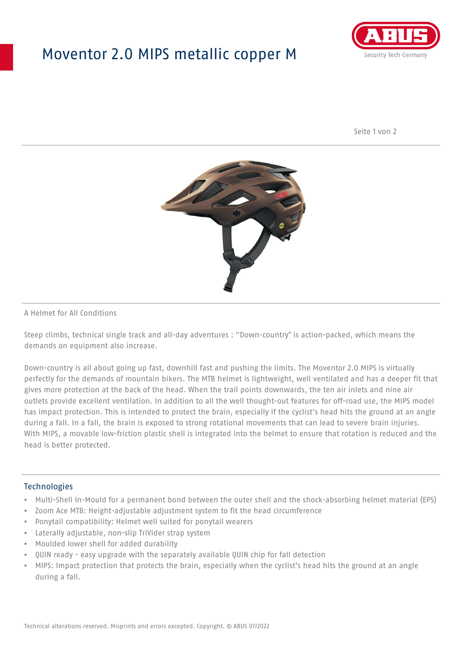## Moventor 2.0 MIPS metallic copper M



Seite 1 von 2



#### A Helmet for All Conditions

Steep climbs, technical single track and all-day adventures : "Down-country" is action-packed, which means the demands on equipment also increase.

Down-country is all about going up fast, downhill fast and pushing the limits. The Moventor 2.0 MIPS is virtually perfectly for the demands of mountain bikers. The MTB helmet is lightweight, well ventilated and has a deeper fit that gives more protection at the back of the head. When the trail points downwards, the ten air inlets and nine air outlets provide excellent ventilation. In addition to all the well thought-out features for off-road use, the MIPS model has impact protection. This is intended to protect the brain, especially if the cyclist's head hits the ground at an angle during a fall. In a fall, the brain is exposed to strong rotational movements that can lead to severe brain injuries. With MIPS, a movable low-friction plastic shell is integrated into the helmet to ensure that rotation is reduced and the head is better protected.

#### **Technologies**

- Multi-Shell In-Mould for a permanent bond between the outer shell and the shock-absorbing helmet material (EPS)
- Zoom Ace MTB: Height-adjustable adjustment system to fit the head circumference
- Ponytail compatibility: Helmet well suited for ponytail wearers
- Laterally adjustable, non-slip TriVider strap system
- Moulded lower shell for added durability
- QUIN ready easy upgrade with the separately available QUIN chip for fall detection
- MIPS: Impact protection that protects the brain, especially when the cyclist's head hits the ground at an angle during a fall.